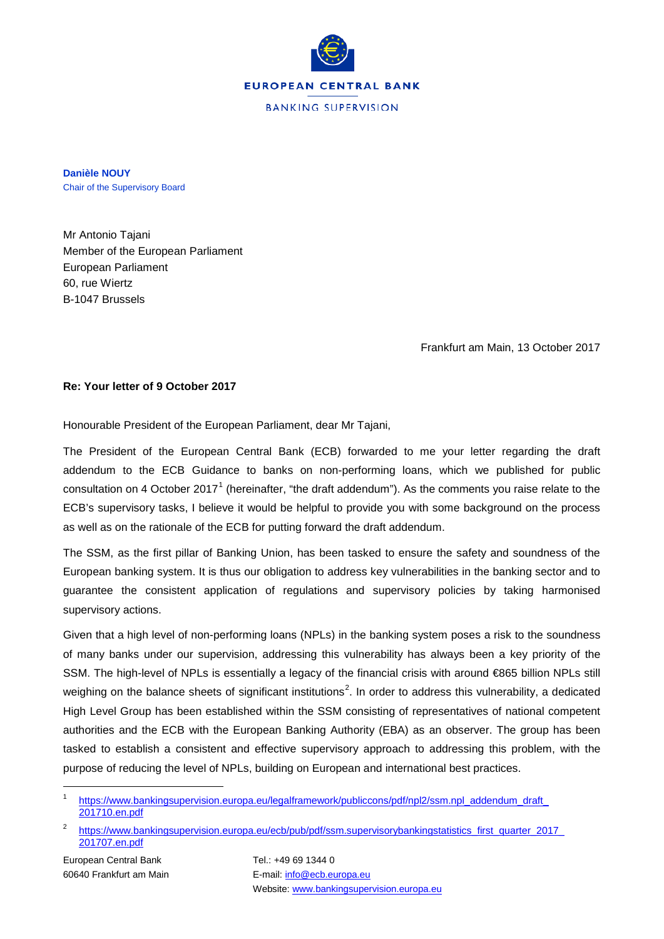

**Danièle NOUY** Chair of the Supervisory Board

Mr Antonio Tajani Member of the European Parliament European Parliament 60, rue Wiertz B-1047 Brussels

Frankfurt am Main, 13 October 2017

## **Re: Your letter of 9 October 2017**

Honourable President of the European Parliament, dear Mr Tajani,

The President of the European Central Bank (ECB) forwarded to me your letter regarding the draft addendum to the ECB Guidance to banks on non-performing loans, which we published for public consultation on 4 October 20[1](#page-0-0)7<sup>1</sup> (hereinafter, "the draft addendum"). As the comments you raise relate to the ECB's supervisory tasks, I believe it would be helpful to provide you with some background on the process as well as on the rationale of the ECB for putting forward the draft addendum.

The SSM, as the first pillar of Banking Union, has been tasked to ensure the safety and soundness of the European banking system. It is thus our obligation to address key vulnerabilities in the banking sector and to guarantee the consistent application of regulations and supervisory policies by taking harmonised supervisory actions.

Given that a high level of non-performing loans (NPLs) in the banking system poses a risk to the soundness of many banks under our supervision, addressing this vulnerability has always been a key priority of the SSM. The high-level of NPLs is essentially a legacy of the financial crisis with around €865 billion NPLs still weighing on the balance sheets of significant institutions<sup>[2](#page-0-1)</sup>. In order to address this vulnerability, a dedicated High Level Group has been established within the SSM consisting of representatives of national competent authorities and the ECB with the European Banking Authority (EBA) as an observer. The group has been tasked to establish a consistent and effective supervisory approach to addressing this problem, with the purpose of reducing the level of NPLs, building on European and international best practices.

<span id="page-0-0"></span>https://www.bankingsupervision.europa.eu/legalframework/publiccons/pdf/npl2/ssm.npl\_addendum\_draft\_ [201710.en.pdf](https://www.bankingsupervision.europa.eu/legalframework/publiccons/pdf/npl2/ssm.npl_addendum_draft_%20201710.en.pdf)

<span id="page-0-1"></span>https://www.bankingsupervision.europa.eu/ecb/pub/pdf/ssm.supervisorybankingstatistics\_first\_quarter\_2017\_ [201707.en.pdf](https://www.bankingsupervision.europa.eu/ecb/pub/pdf/ssm.supervisorybankingstatistics_first_quarter_2017_%20201707.en.pdf)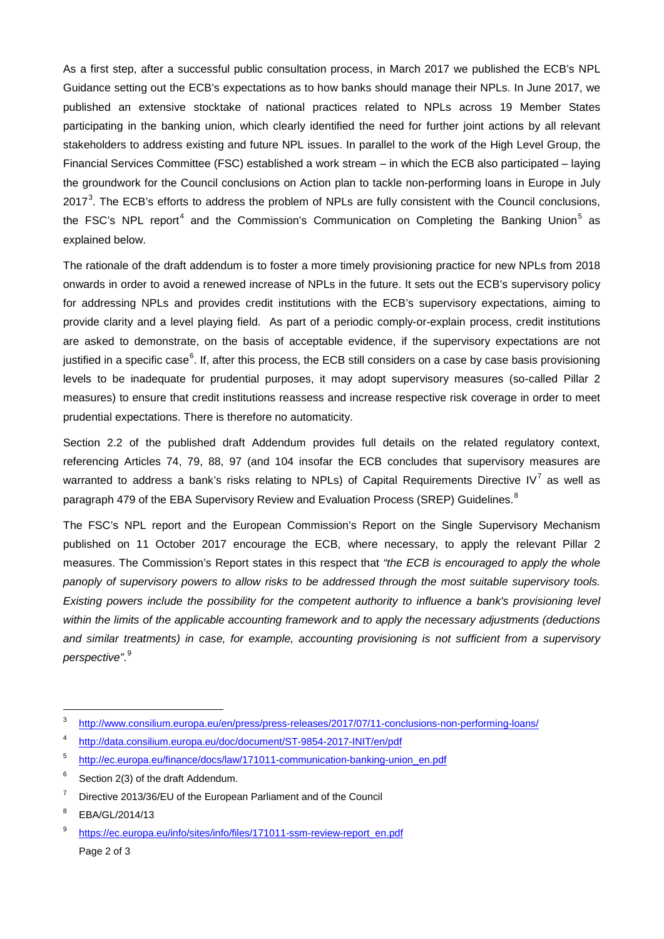As a first step, after a successful public consultation process, in March 2017 we published the ECB's NPL Guidance setting out the ECB's expectations as to how banks should manage their NPLs. In June 2017, we published an extensive stocktake of national practices related to NPLs across 19 Member States participating in the banking union, which clearly identified the need for further joint actions by all relevant stakeholders to address existing and future NPL issues. In parallel to the work of the High Level Group, the Financial Services Committee (FSC) established a work stream – in which the ECB also participated – laying the groundwork for the Council conclusions on Action plan to tackle non-performing loans in Europe in July 2017<sup>[3](#page-1-0)</sup>. The ECB's efforts to address the problem of NPLs are fully consistent with the Council conclusions, the FSC's NPL report<sup>[4](#page-1-1)</sup> and the Commission's Communication on Completing the Banking Union<sup>[5](#page-1-2)</sup> as explained below.

The rationale of the draft addendum is to foster a more timely provisioning practice for new NPLs from 2018 onwards in order to avoid a renewed increase of NPLs in the future. It sets out the ECB's supervisory policy for addressing NPLs and provides credit institutions with the ECB's supervisory expectations, aiming to provide clarity and a level playing field. As part of a periodic comply-or-explain process, credit institutions are asked to demonstrate, on the basis of acceptable evidence, if the supervisory expectations are not justified in a specific case<sup>[6](#page-1-3)</sup>. If, after this process, the ECB still considers on a case by case basis provisioning levels to be inadequate for prudential purposes, it may adopt supervisory measures (so-called Pillar 2 measures) to ensure that credit institutions reassess and increase respective risk coverage in order to meet prudential expectations. There is therefore no automaticity.

Section 2.2 of the published draft Addendum provides full details on the related regulatory context, referencing Articles 74, 79, 88, 97 (and 104 insofar the ECB concludes that supervisory measures are warranted to address a bank's risks relating to NPLs) of Capital Requirements Directive IV<sup>[7](#page-1-4)</sup> as well as paragraph 479 of the EBA Supervisory Review and Evaluation Process (SREP) Guidelines.<sup>[8](#page-1-5)</sup>

The FSC's NPL report and the European Commission's Report on the Single Supervisory Mechanism published on 11 October 2017 encourage the ECB, where necessary, to apply the relevant Pillar 2 measures. The Commission's Report states in this respect that *"the ECB is encouraged to apply the whole panoply of supervisory powers to allow risks to be addressed through the most suitable supervisory tools. Existing powers include the possibility for the competent authority to influence a bank's provisioning level within the limits of the applicable accounting framework and to apply the necessary adjustments (deductions and similar treatments) in case, for example, accounting provisioning is not sufficient from a supervisory perspective"*. [9](#page-1-6)

<span id="page-1-0"></span> <sup>3</sup> <http://www.consilium.europa.eu/en/press/press-releases/2017/07/11-conclusions-non-performing-loans/>

<span id="page-1-1"></span><sup>4</sup> <http://data.consilium.europa.eu/doc/document/ST-9854-2017-INIT/en/pdf>

<span id="page-1-2"></span><sup>5</sup> [http://ec.europa.eu/finance/docs/law/171011-communication-banking-union\\_en.pdf](http://ec.europa.eu/finance/docs/law/171011-communication-banking-union_en.pdf)

<span id="page-1-3"></span> $6$  Section 2(3) of the draft Addendum.

<span id="page-1-4"></span> $7$  Directive 2013/36/EU of the European Parliament and of the Council

<span id="page-1-5"></span><sup>8</sup> EBA/GL/2014/13

<span id="page-1-6"></span>Page 2 of 3 [https://ec.europa.eu/info/sites/info/files/171011-ssm-review-report\\_en.pdf](https://ec.europa.eu/info/sites/info/files/171011-ssm-review-report_en.pdf)